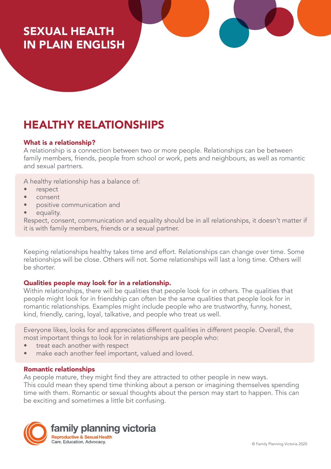## SEXUAL HEALTH IN PLAIN ENGLISH

# HEALTHY RELATIONSHIPS

## What is a relationship?

A relationship is a connection between two or more people. Relationships can be between family members, friends, people from school or work, pets and neighbours, as well as romantic and sexual partners.

A healthy relationship has a balance of:

- respect
- consent
- positive communication and
- equality.

Respect, consent, communication and equality should be in all relationships, it doesn't matter if it is with family members, friends or a sexual partner.

Keeping relationships healthy takes time and effort. Relationships can change over time. Some relationships will be close. Others will not. Some relationships will last a long time. Others will be shorter.

#### Qualities people may look for in a relationship.

Within relationships, there will be qualities that people look for in others. The qualities that people might look for in friendship can often be the same qualities that people look for in romantic relationships. Examples might include people who are trustworthy, funny, honest, kind, friendly, caring, loyal, talkative, and people who treat us well.

Everyone likes, looks for and appreciates different qualities in different people. Overall, the most important things to look for in relationships are people who:

- treat each another with respect
- make each another feel important, valued and loved.

#### Romantic relationships

As people mature, they might find they are attracted to other people in new ways. This could mean they spend time thinking about a person or imagining themselves spending time with them. Romantic or sexual thoughts about the person may start to happen. This can be exciting and sometimes a little bit confusing.

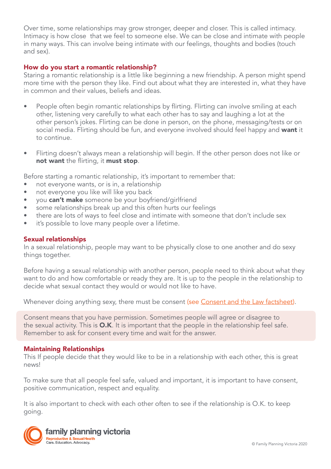Over time, some relationships may grow stronger, deeper and closer. This is called intimacy. Intimacy is how close that we feel to someone else. We can be close and intimate with people in many ways. This can involve being intimate with our feelings, thoughts and bodies (touch and sex).

## How do you start a romantic relationship?

Staring a romantic relationship is a little like beginning a new friendship. A person might spend more time with the person they like. Find out about what they are interested in, what they have in common and their values, beliefs and ideas.

- People often begin romantic relationships by flirting. Flirting can involve smiling at each other, listening very carefully to what each other has to say and laughing a lot at the other person's jokes. Flirting can be done in person, on the phone, messaging/tests or on social media. Flirting should be fun, and everyone involved should feel happy and want it to continue.
- Flirting doesn't always mean a relationship will begin. If the other person does not like or not want the flirting, it must stop.

Before starting a romantic relationship, it's important to remember that:

- not everyone wants, or is in, a relationship
- not everyone you like will like you back
- you can't make someone be your boyfriend/girlfriend
- some relationships break up and this often hurts our feelings
- there are lots of ways to feel close and intimate with someone that don't include sex
- it's possible to love many people over a lifetime.

#### Sexual relationships

In a sexual relationship, people may want to be physically close to one another and do sexy things together.

Before having a sexual relationship with another person, people need to think about what they want to do and how comfortable or ready they are. It is up to the people in the relationship to decide what sexual contact they would or would not like to have.

Whenever doing anything sexy, there must be consent (see [Consent and the Law factsheet\)](https://www.fpv.org.au/assets/resources/Final-Sex-and-the-Law-090718_VT_v1.pdf).

Consent means that you have permission. Sometimes people will agree or disagree to the sexual activity. This is O.K. It is important that the people in the relationship feel safe. Remember to ask for consent every time and wait for the answer.

#### Maintaining Relationships

This If people decide that they would like to be in a relationship with each other, this is great news!

To make sure that all people feel safe, valued and important, it is important to have consent, positive communication, respect and equality.

It is also important to check with each other often to see if the relationship is O.K. to keep going.

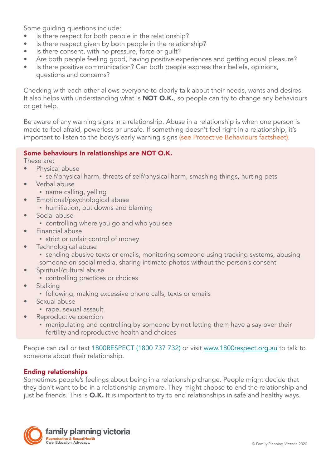Some guiding questions include:

- Is there respect for both people in the relationship?
- Is there respect given by both people in the relationship?
- Is there consent, with no pressure, force or guilt?
- Are both people feeling good, having positive experiences and getting equal pleasure?
- Is there positive communication? Can both people express their beliefs, opinions, questions and concerns?

Checking with each other allows everyone to clearly talk about their needs, wants and desires. It also helps with understanding what is **NOT O.K.**, so people can try to change any behaviours or get help.

Be aware of any warning signs in a relationship. Abuse in a relationship is when one person is made to feel afraid, powerless or unsafe. If something doesn't feel right in a relationship, it's important to listen to the body's early warning signs (see Protective Behaviours factsheet).

## Some behaviours in relationships are NOT O.K.

These are:

- Physical abuse
	- self/physical harm, threats of self/physical harm, smashing things, hurting pets
- Verbal abuse
	- name calling, yelling
- Emotional/psychological abuse
	- humiliation, put downs and blaming
- Social abuse
	- controlling where you go and who you see
- Financial abuse
	- strict or unfair control of money
- Technological abuse
	- **•** sending abusive texts or emails, monitoring someone using tracking systems, abusing someone on social media, sharing intimate photos without the person's consent
- Spiritual/cultural abuse
	- controlling practices or choices
- Stalking
	- **•** following, making excessive phone calls, texts or emails
- Sexual abuse
	- rape, sexual assault
- Reproductive coercion
	- manipulating and controlling by someone by not letting them have a say over their fertility and reproductive health and choices

People can call or text 1800RESPECT (1800 737 732) or visit [www.1800respect.org.au](http://www.1800respect.org.au) to talk to someone about their relationship.

## Ending relationships

Sometimes people's feelings about being in a relationship change. People might decide that they don't want to be in a relationship anymore. They might choose to end the relationship and just be friends. This is O.K. It is important to try to end relationships in safe and healthy ways.